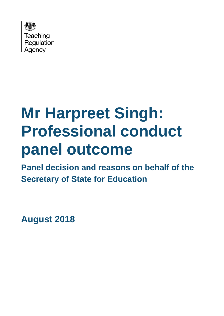

# **Mr Harpreet Singh: Professional conduct panel outcome**

**Panel decision and reasons on behalf of the Secretary of State for Education**

**August 2018**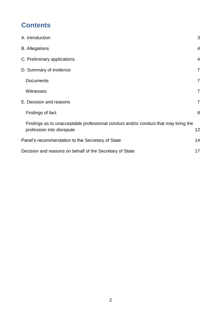# **Contents**

| A. Introduction                                                                                                 | 3               |
|-----------------------------------------------------------------------------------------------------------------|-----------------|
| <b>B.</b> Allegations                                                                                           | $\overline{4}$  |
| C. Preliminary applications                                                                                     | $\overline{4}$  |
| D. Summary of evidence                                                                                          | $\overline{7}$  |
| <b>Documents</b>                                                                                                | $\overline{7}$  |
| Witnesses                                                                                                       | 7               |
| E. Decision and reasons                                                                                         | $\overline{7}$  |
| Findings of fact                                                                                                | 8               |
| Findings as to unacceptable professional conduct and/or conduct that may bring the<br>profession into disrepute | 12 <sub>2</sub> |
| Panel's recommendation to the Secretary of State                                                                | 14              |
| Decision and reasons on behalf of the Secretary of State                                                        | 17              |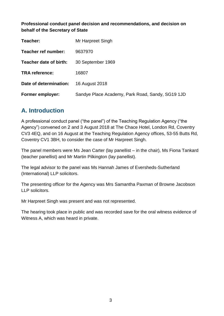**Professional conduct panel decision and recommendations, and decision on behalf of the Secretary of State**

| Teacher:                | Mr Harpreet Singh                                |
|-------------------------|--------------------------------------------------|
| Teacher ref number:     | 9637970                                          |
| Teacher date of birth:  | 30 September 1969                                |
| <b>TRA reference:</b>   | 16807                                            |
| Date of determination:  | 16 August 2018                                   |
| <b>Former employer:</b> | Sandye Place Academy, Park Road, Sandy, SG19 1JD |

## <span id="page-2-0"></span>**A. Introduction**

A professional conduct panel ("the panel") of the Teaching Regulation Agency ("the Agency") convened on 2 and 3 August 2018 at The Chace Hotel, London Rd, Coventry CV3 4EQ, and on 16 August at the Teaching Regulation Agency offices, 53-55 Butts Rd, Coventry CV1 3BH, to consider the case of Mr Harpreet Singh.

The panel members were Ms Jean Carter (lay panellist – in the chair), Ms Fiona Tankard (teacher panellist) and Mr Martin Pilkington (lay panellist).

The legal advisor to the panel was Ms Hannah James of Eversheds-Sutherland (International) LLP solicitors.

The presenting officer for the Agency was Mrs Samantha Paxman of Browne Jacobson LLP solicitors.

Mr Harpreet Singh was present and was not represented.

The hearing took place in public and was recorded save for the oral witness evidence of Witness A, which was heard in private.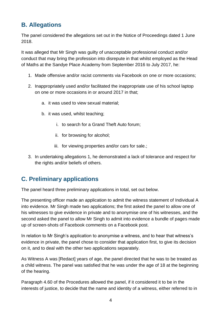# <span id="page-3-0"></span>**B. Allegations**

The panel considered the allegations set out in the Notice of Proceedings dated 1 June 2018.

It was alleged that Mr Singh was guilty of unacceptable professional conduct and/or conduct that may bring the profession into disrepute in that whilst employed as the Head of Maths at the Sandye Place Academy from September 2016 to July 2017, he:

- 1. Made offensive and/or racist comments via Facebook on one or more occasions;
- 2. Inappropriately used and/or facilitated the inappropriate use of his school laptop on one or more occasions in or around 2017 in that;
	- a. it was used to view sexual material;
	- b. it was used, whilst teaching;
		- i. to search for a Grand Theft Auto forum;
		- ii. for browsing for alcohol;
		- iii. for viewing properties and/or cars for sale.:
- 3. In undertaking allegations 1, he demonstrated a lack of tolerance and respect for the rights and/or beliefs of others.

# <span id="page-3-1"></span>**C. Preliminary applications**

The panel heard three preliminary applications in total, set out below.

The presenting officer made an application to admit the witness statement of Individual A into evidence. Mr Singh made two applications; the first asked the panel to allow one of his witnesses to give evidence in private and to anonymise one of his witnesses, and the second asked the panel to allow Mr Singh to admit into evidence a bundle of pages made up of screen-shots of Facebook comments on a Facebook post.

In relation to Mr Singh's application to anonymise a witness, and to hear that witness's evidence in private, the panel chose to consider that application first, to give its decision on it, and to deal with the other two applications separately.

As Witness A was [Redact] years of age, the panel directed that he was to be treated as a child witness. The panel was satisfied that he was under the age of 18 at the beginning of the hearing.

Paragraph 4.60 of the Procedures allowed the panel, if it considered it to be in the interests of justice, to decide that the name and identity of a witness, either referred to in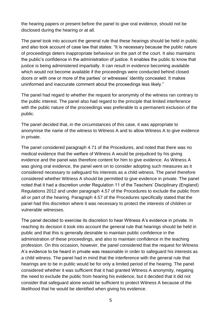the hearing papers or present before the panel to give oral evidence, should not be disclosed during the hearing or at all.

The panel took into account the general rule that these hearings should be held in public and also took account of case law that states: "It is necessary because the public nature of proceedings deters inappropriate behaviour on the part of the court. It also maintains the public's confidence in the administration of justice. It enables the public to know that justice is being administered impartially. It can result in evidence becoming available which would not become available if the proceedings were conducted behind closed doors or with one or more of the parties' or witnesses' identity concealed. It makes uninformed and inaccurate comment about the proceedings less likely."

The panel had regard to whether the request for anonymity of the witness ran contrary to the public interest. The panel also had regard to the principle that limited interference with the public nature of the proceedings was preferable to a permanent exclusion of the public.

The panel decided that, in the circumstances of this case, it was appropriate to anonymise the name of the witness to Witness A and to allow Witness A to give evidence in private.

The panel considered paragraph 4.71 of the Procedures, and noted that there was no medical evidence that the welfare of Witness A would be prejudiced by his giving evidence and the panel was therefore content for him to give evidence. As Witness A was giving oral evidence, the panel went on to consider adopting such measures as it considered necessary to safeguard his interests as a child witness. The panel therefore considered whether Witness A should be permitted to give evidence in private. The panel noted that it had a discretion under Regulation 11 of the Teachers' Disciplinary (England) Regulations 2012 and under paragraph 4.57 of the Procedures to exclude the public from all or part of the hearing. Paragraph 4.57 of the Procedures specifically stated that the panel had this discretion where it was necessary to protect the interests of children or vulnerable witnesses.

The panel decided to exercise its discretion to hear Witness A's evidence in private. In reaching its decision it took into account the general rule that hearings should be held in public and that this is generally desirable to maintain public confidence in the administration of these proceedings, and also to maintain confidence in the teaching profession. On this occasion, however, the panel considered that the request for Witness A's evidence to be heard in private was reasonable in order to safeguard his interests as a child witness. The panel had in mind that the interference with the general rule that hearings are to be in public would be for only a limited period of the hearing. The panel considered whether it was sufficient that it had granted Witness A anonymity, negating the need to exclude the public from hearing his evidence, but it decided that it did not consider that safeguard alone would be sufficient to protect Witness A because of the likelihood that he would be identified when giving his evidence.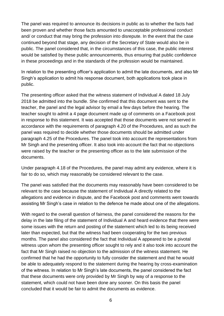The panel was required to announce its decisions in public as to whether the facts had been proven and whether those facts amounted to unacceptable professional conduct and/ or conduct that may bring the profession into disrepute. In the event that the case continued beyond that stage, any decision of the Secretary of State would also be in public. The panel considered that, in the circumstances of this case, the public interest would be satisfied by these public announcements, thus ensuring that public confidence in these proceedings and in the standards of the profession would be maintained.

In relation to the presenting officer's application to admit the late documents, and also Mr Singh's application to admit his response document, both applications took place in public.

The presenting officer asked that the witness statement of Individual A dated 18 July 2018 be admitted into the bundle. She confirmed that this document was sent to the teacher, the panel and the legal advisor by email a few days before the hearing. The teacher sought to admit a 4 page document made up of comments on a Facebook post in response to this statement. It was accepted that those documents were not served in accordance with the requirements of paragraph 4.20 of the Procedures, and as such the panel was required to decide whether those documents should be admitted under paragraph 4.25 of the Procedures. The panel took into account the representations from Mr Singh and the presenting officer. It also took into account the fact that no objections were raised by the teacher or the presenting officer as to the late submission of the documents.

Under paragraph 4.18 of the Procedures, the panel may admit any evidence, where it is fair to do so, which may reasonably be considered relevant to the case.

The panel was satisfied that the documents may reasonably have been considered to be relevant to the case because the statement of Individual A directly related to the allegations and evidence in dispute, and the Facebook post and comments went towards assisting Mr Singh's case in relation to the defence he made about one of the allegations.

With regard to the overall question of fairness, the panel considered the reasons for the delay in the late filing of the statement of Individual A and heard evidence that there were some issues with the return and posting of the statement which led to its being received later than expected, but that the witness had been cooperating for the two previous months. The panel also considered the fact that Individual A appeared to be a pivotal witness upon whom the presenting officer sought to rely and it also took into account the fact that Mr Singh raised no objection to the admission of the witness statement. He confirmed that he had the opportunity to fully consider the statement and that he would be able to adequately respond to the statement during the hearing by cross-examination of the witness. In relation to Mr Singh's late documents, the panel considered the fact that these documents were only provided by Mr Singh by way of a response to the statement, which could not have been done any sooner. On this basis the panel concluded that it would be fair to admit the documents as evidence.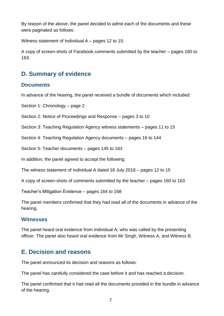By reason of the above, the panel decided to admit each of the documents and these were paginated as follows:

Witness statement of Individual A – pages 12 to 15.

A copy of screen-shots of Facebook comments submitted by the teacher – pages 160 to 163.

# <span id="page-6-0"></span>**D. Summary of evidence**

## <span id="page-6-1"></span>**Documents**

In advance of the hearing, the panel received a bundle of documents which included:

Section 1: Chronology – page 2

Section 2: Notice of Proceedings and Response – pages 3 to 10

Section 3: Teaching Regulation Agency witness statements – pages 11 to 15

Section 4: Teaching Regulation Agency documents – pages 16 to 144

Section 5: Teacher documents – pages 145 to 163

In addition, the panel agreed to accept the following:

The witness statement of Individual A dated 18 July 2018 – pages 12 to 15

A copy of screen-shots of comments submitted by the teacher – pages 160 to 163

Teacher's Mitigation Evidence – pages 164 to 168

The panel members confirmed that they had read all of the documents in advance of the hearing.

## <span id="page-6-2"></span>**Witnesses**

The panel heard oral evidence from Individual A, who was called by the presenting officer. The panel also heard oral evidence from Mr Singh, Witness A, and Witness B.

# <span id="page-6-3"></span>**E. Decision and reasons**

The panel announced its decision and reasons as follows:

The panel has carefully considered the case before it and has reached a decision.

The panel confirmed that it had read all the documents provided in the bundle in advance of the hearing.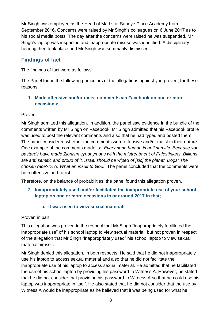Mr Singh was employed as the Head of Maths at Sandye Place Academy from September 2016. Concerns were raised by Mr Singh's colleagues on 6 June 2017 as to his social media posts. The day after the concerns were raised he was suspended. Mr Singh's laptop was inspected and inappropriate misuse was identified. A disciplinary hearing then took place and Mr Singh was summarily dismissed.

## <span id="page-7-0"></span>**Findings of fact**

The findings of fact were as follows:

The Panel found the following particulars of the allegations against you proven, for these reasons:

## **1. Made offensive and/or racist comments via Facebook on one or more occasions;**

Proven.

Mr Singh admitted this allegation. In addition, the panel saw evidence in the bundle of the comments written by Mr Singh on Facebook. Mr Singh admitted that his Facebook profile was used to post the relevant comments and also that he had typed and posted them. The panel considered whether the comments were offensive and/or racist in their nature. One example of the comments made is: *"Every sane human is anti semitic. Because you bastards have made Zionism synonymous with the mistreatment of Palestinians. Billions are anti semitic and proud of it. Israel should be wiped of [sic] the planet. Dogs! The chosen race?!?!?!! What an insult to God!"* The panel concluded that the comments were both offensive and racist.

Therefore, on the balance of probabilities, the panel found this allegation proven.

- **2. Inappropriately used and/or facilitated the inappropriate use of your school laptop on one or more occasions in or around 2017 in that;**
	- **a. it was used to view sexual material;**

Proven in part.

This allegation was proven in the respect that Mr Singh "inappropriately facilitated the inappropriate use" of his school laptop to view sexual material, but not proven in respect of the allegation that Mr Singh "inappropriately used" his school laptop to view sexual material himself.

Mr Singh denied this allegation, in both respects. He said that he did not inappropriately use his laptop to access sexual material and also that he did not facilitate the inappropriate use of his laptop to access sexual material. He admitted that he facilitated the use of his school laptop by providing his password to Witness A. However, he stated that he did not consider that providing his password to Witness A so that he could use his laptop was inappropriate in itself. He also stated that he did not consider that the use by Witness A would be inappropriate as he believed that it was being used for what he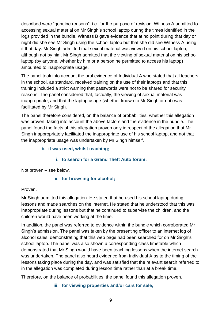described were "genuine reasons", i.e. for the purpose of revision. Witness A admitted to accessing sexual material on Mr Singh's school laptop during the times identified in the logs provided in the bundle. Witness B gave evidence that at no point during that day or night did she see Mr Singh using the school laptop but that she did see Witness A using it that day. Mr Singh admitted that sexual material was viewed on his school laptop, although not by him. Mr Singh admitted that the viewing of sexual material on his school laptop (by anyone, whether by him or a person he permitted to access his laptop) amounted to inappropriate usage.

The panel took into account the oral evidence of Individual A who stated that all teachers in the school, as standard, received training on the use of their laptops and that this training included a strict warning that passwords were not to be shared for security reasons. The panel considered that, factually, the viewing of sexual material was inappropriate, and that the laptop usage (whether known to Mr Singh or not) was facilitated by Mr Singh.

The panel therefore considered, on the balance of probabilities, whether this allegation was proven, taking into account the above factors and the evidence in the bundle. The panel found the facts of this allegation proven only in respect of the allegation that Mr Singh inappropriately facilitated the inappropriate use of his school laptop, and not that the inappropriate usage was undertaken by Mr Singh himself.

#### **b. it was used, whilst teaching;**

## **i. to search for a Grand Theft Auto forum;**

Not proven – see below.

## **ii. for browsing for alcohol;**

## Proven.

Mr Singh admitted this allegation. He stated that he used his school laptop during lessons and made searches on the internet. He stated that he understood that this was inappropriate during lessons but that he continued to supervise the children, and the children would have been working at the time.

In addition, the panel was referred to evidence within the bundle which corroborated Mr Singh's admission. The panel was taken by the presenting officer to an internet log of alcohol sales, demonstrating that this web page had been searched for on Mr Singh's school laptop. The panel was also shown a corresponding class timetable which demonstrated that Mr Singh would have been teaching lessons when the internet search was undertaken. The panel also heard evidence from Individual A as to the timing of the lessons taking place during the day, and was satisfied that the relevant search referred to in the allegation was completed during lesson time rather than at a break time.

Therefore, on the balance of probabilities, the panel found this allegation proven.

**iii. for viewing properties and/or cars for sale;**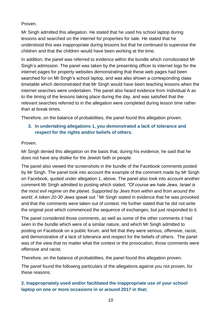#### Proven.

Mr Singh admitted this allegation. He stated that he used his school laptop during lessons and searched on the internet for properties for sale. He stated that he understood this was inappropriate during lessons but that he continued to supervise the children and that the children would have been working at the time.

In addition, the panel was referred to evidence within the bundle which corroborated Mr Singh's admission. The panel was taken by the presenting officer to internet logs for the internet pages for property websites demonstrating that these web pages had been searched for on Mr Singh's school laptop, and was also shown a corresponding class timetable which demonstrated that Mr Singh would have been teaching lessons when the internet searches were undertaken. The panel also heard evidence from Individual A as to the timing of the lessons taking place during the day, and was satisfied that the relevant searches referred to in the allegation were completed during lesson time rather than at break times.

Therefore, on the balance of probabilities, the panel found this allegation proven.

## **3. In undertaking allegations 1, you demonstrated a lack of tolerance and respect for the rights and/or beliefs of others.**

#### Proven.

Mr Singh denied this allegation on the basis that, during his evidence, he said that he does not have any dislike for the Jewish faith or people.

The panel also viewed the screenshots in the bundle of the Facebook comments posted by Mr Singh. The panel took into account the example of the comment made by Mr Singh on Facebook, quoted under allegation 1, above. The panel also took into account another comment Mr Singh admitted to posting which stated, *"Of course we hate Jews. Israel is the most evil regime on the planet. Supported by Jews from within and from around the world. A token 20-30 Jews speak out."* Mr Singh stated in evidence that he was provoked and that the comments were taken out of context. He further stated that he did not write the original post which commenced the sequence of exchanges, but just responded to it.

The panel considered those comments, as well as some of the other comments it had seen in the bundle which were of a similar nature, and which Mr Singh admitted to posting on Facebook on a public forum, and felt that they were serious, offensive, racist, and demonstrative of a lack of tolerance and respect for the beliefs of others. The panel was of the view that no matter what the context or the provocation, those comments were offensive and racist.

Therefore, on the balance of probabilities, the panel found this allegation proven.

The panel found the following particulars of the allegations against you not proven, for these reasons:

## **2. Inappropriately used and/or facilitated the inappropriate use of your school laptop on one or more occasions in or around 2017 in that;**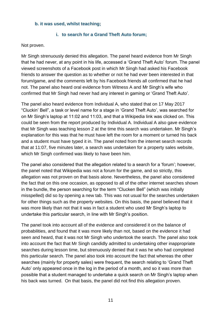#### **b. it was used, whilst teaching;**

#### **i. to search for a Grand Theft Auto forum;**

#### Not proven.

Mr Singh strenuously denied this allegation. The panel heard evidence from Mr Singh that he had never, at any point in his life, accessed a 'Grand Theft Auto' forum. The panel viewed screenshots of a Facebook post in which Mr Singh had asked his Facebook friends to answer the question as to whether or not he had ever been interested in that forum/game, and the comments left by his Facebook friends all confirmed that he had not. The panel also heard oral evidence from Witness A and Mr Singh's wife who confirmed that Mr Singh had never had any interest in gaming or 'Grand Theft Auto'.

The panel also heard evidence from Individual A, who stated that on 17 May 2017 "Cluckin' Bell", a task or level name for a stage in 'Grand Theft Auto', was searched for on Mr Singh's laptop at 11:02 and 11:03, and that a Wikipedia link was clicked on. This could be seen from the report produced by Individual A. Individual A also gave evidence that Mr Singh was teaching lesson 2 at the time this search was undertaken. Mr Singh's explanation for this was that he must have left the room for a moment or turned his back and a student must have typed it in. The panel noted from the internet search records that at 11:07, five minutes later, a search was undertaken for a property sales website, which Mr Singh confirmed was likely to have been him.

The panel also considered that the allegation related to a search for a 'forum'; however, the panel noted that Wikipedia was not a forum for the game, and so strictly, this allegation was not proven on that basis alone. Nevertheless, the panel also considered the fact that on this one occasion, as opposed to all of the other internet searches shown in the bundle, the person searching for the term "Clucken Bell" (which was initially misspelled) did so by opening a new tab. This was not usual for the searches undertaken for other things such as the property websites. On this basis, the panel believed that it was more likely than not that it was in fact a student who used Mr Singh's laptop to undertake this particular search, in line with Mr Singh's position.

The panel took into account all of the evidence and considered it on the balance of probabilities, and found that it was more likely than not, based on the evidence it had seen and heard, that it was not Mr Singh who undertook the search. The panel also took into account the fact that Mr Singh candidly admitted to undertaking other inappropriate searches during lesson time, but strenuously denied that it was he who had completed this particular search. The panel also took into account the fact that whereas the other searches (mainly for property sales) were frequent, the search relating to 'Grand Theft Auto' only appeared once in the log in the period of a month, and so it was more than possible that a student managed to undertake a quick search on Mr Singh's laptop when his back was turned. On that basis, the panel did not find this allegation proven.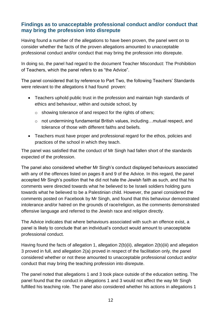## <span id="page-11-0"></span>**Findings as to unacceptable professional conduct and/or conduct that may bring the profession into disrepute**

Having found a number of the allegations to have been proven, the panel went on to consider whether the facts of the proven allegations amounted to unacceptable professional conduct and/or conduct that may bring the profession into disrepute.

In doing so, the panel had regard to the document Teacher Misconduct: The Prohibition of Teachers, which the panel refers to as "the Advice".

The panel considered that by reference to Part Two, the following Teachers' Standards were relevant to the allegations it had found proven:

- Teachers uphold public trust in the profession and maintain high standards of ethics and behaviour, within and outside school, by
	- o showing tolerance of and respect for the rights of others;
	- o not undermining fundamental British values, including…mutual respect, and tolerance of those with different faiths and beliefs.
- Teachers must have proper and professional regard for the ethos, policies and practices of the school in which they teach.

The panel was satisfied that the conduct of Mr Singh had fallen short of the standards expected of the profession.

The panel also considered whether Mr Singh's conduct displayed behaviours associated with any of the offences listed on pages 8 and 9 of the Advice. In this regard, the panel accepted Mr Singh's position that he did not hate the Jewish faith as such, and that his comments were directed towards what he believed to be Israeli soldiers holding guns towards what he believed to be a Palestinian child. However, the panel considered the comments posted on Facebook by Mr Singh, and found that this behaviour demonstrated intolerance and/or hatred on the grounds of race/religion, as the comments demonstrated offensive language and referred to the Jewish race and religion directly.

The Advice indicates that where behaviours associated with such an offence exist, a panel is likely to conclude that an individual's conduct would amount to unacceptable professional conduct.

Having found the facts of allegation 1, allegation 2(b)(ii), allegation 2(b)(iii) and allegation 3 proved in full, and allegation 2(a) proved in respect of the facilitation only, the panel considered whether or not these amounted to unacceptable professional conduct and/or conduct that may bring the teaching profession into disrepute.

The panel noted that allegations 1 and 3 took place outside of the education setting. The panel found that the conduct in allegations 1 and 3 would not affect the way Mr Singh fulfilled his teaching role. The panel also considered whether his actions in allegations 1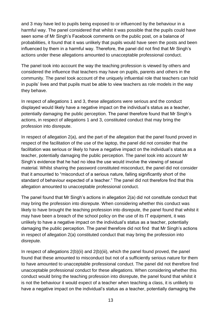and 3 may have led to pupils being exposed to or influenced by the behaviour in a harmful way. The panel considered that whilst it was possible that the pupils could have seen some of Mr Singh's Facebook comments on the public post, on a balance of probabilities, it found that it was unlikely that pupils would have seen the posts and been influenced by them in a harmful way. Therefore, the panel did not find that Mr Singh's actions under these allegations amounted to unacceptable professional conduct.

The panel took into account the way the teaching profession is viewed by others and considered the influence that teachers may have on pupils, parents and others in the community. The panel took account of the uniquely influential role that teachers can hold in pupils' lives and that pupils must be able to view teachers as role models in the way they behave.

In respect of allegations 1 and 3, these allegations were serious and the conduct displayed would likely have a negative impact on the individual's status as a teacher, potentially damaging the public perception. The panel therefore found that Mr Singh's actions, in respect of allegations 1 and 3, constituted conduct that may bring the profession into disrepute.

In respect of allegation 2(a), and the part of the allegation that the panel found proved in respect of the facilitation of the use of the laptop, the panel did not consider that the facilitation was serious or likely to have a negative impact on the individual's status as a teacher, potentially damaging the public perception. The panel took into account Mr Singh's evidence that he had no idea the use would involve the viewing of sexual material. Whilst sharing the password constituted misconduct, the panel did not consider that it amounted to "misconduct of a serious nature, falling significantly short of the standard of behaviour expected of a teacher." The panel did not therefore find that this allegation amounted to unacceptable professional conduct.

The panel found that Mr Singh's actions in allegation 2(a) did not constitute conduct that may bring the profession into disrepute. When considering whether this conduct was likely to have brought the teaching profession into disrepute, the panel found that whilst it may have been a breach of the school policy on the use of its IT equipment, it was unlikely to have a negative impact on the individual's status as a teacher, potentially damaging the public perception. The panel therefore did not find that Mr Singh's actions in respect of allegation 2(a) constituted conduct that may bring the profession into disrepute.

In respect of allegations 2(b)(ii) and 2(b)(iii), which the panel found proved, the panel found that these amounted to misconduct but not of a sufficiently serious nature for them to have amounted to unacceptable professional conduct. The panel did not therefore find unacceptable professional conduct for these allegations. When considering whether this conduct would bring the teaching profession into disrepute, the panel found that whilst it is not the behaviour it would expect of a teacher when teaching a class, it is unlikely to have a negative impact on the individual's status as a teacher, potentially damaging the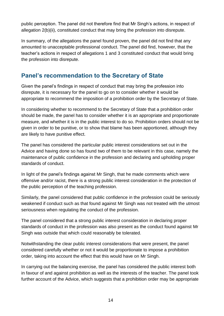public perception. The panel did not therefore find that Mr Singh's actions, in respect of allegation 2(b)(ii), constituted conduct that may bring the profession into disrepute.

In summary, of the allegations the panel found proven, the panel did not find that any amounted to unacceptable professional conduct. The panel did find, however, that the teacher's actions in respect of allegations 1 and 3 constituted conduct that would bring the profession into disrepute.

## <span id="page-13-0"></span>**Panel's recommendation to the Secretary of State**

Given the panel's findings in respect of conduct that may bring the profession into disrepute, it is necessary for the panel to go on to consider whether it would be appropriate to recommend the imposition of a prohibition order by the Secretary of State.

In considering whether to recommend to the Secretary of State that a prohibition order should be made, the panel has to consider whether it is an appropriate and proportionate measure, and whether it is in the public interest to do so. Prohibition orders should not be given in order to be punitive, or to show that blame has been apportioned, although they are likely to have punitive effect.

The panel has considered the particular public interest considerations set out in the Advice and having done so has found two of them to be relevant in this case, namely the maintenance of public confidence in the profession and declaring and upholding proper standards of conduct.

In light of the panel's findings against Mr Singh, that he made comments which were offensive and/or racist, there is a strong public interest consideration in the protection of the public perception of the teaching profession.

Similarly, the panel considered that public confidence in the profession could be seriously weakened if conduct such as that found against Mr Singh was not treated with the utmost seriousness when regulating the conduct of the profession.

The panel considered that a strong public interest consideration in declaring proper standards of conduct in the profession was also present as the conduct found against Mr Singh was outside that which could reasonably be tolerated.

Notwithstanding the clear public interest considerations that were present, the panel considered carefully whether or not it would be proportionate to impose a prohibition order, taking into account the effect that this would have on Mr Singh.

In carrying out the balancing exercise, the panel has considered the public interest both in favour of and against prohibition as well as the interests of the teacher. The panel took further account of the Advice, which suggests that a prohibition order may be appropriate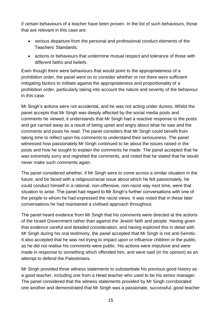if certain behaviours of a teacher have been proven. In the list of such behaviours, those that are relevant in this case are:

- serious departure from the personal and professional conduct elements of the Teachers' Standards;
- actions or behaviours that undermine mutual respect and tolerance of those with different faiths and beliefs.

Even though there were behaviours that would point to the appropriateness of a prohibition order, the panel went on to consider whether or not there were sufficient mitigating factors to militate against the appropriateness and proportionality of a prohibition order, particularly taking into account the nature and severity of the behaviour in this case.

Mr Singh's actions were not accidental, and he was not acting under duress. Whilst the panel accepts that Mr Singh was deeply affected by the social media posts and comments he viewed, it understands that Mr Singh had a reactive response to the posts and got carried away as a result of being upset and angry about what he saw and the comments and posts he read. The panel considers that Mr Singh could benefit from taking time to reflect upon his comments to understand their seriousness. The panel witnessed how passionately Mr Singh continued to be about the issues raised in the posts and how he sought to explain the comments he made. The panel accepted that he was extremely sorry and regretted the comments, and noted that he stated that he would never make such comments again.

The panel considered whether, if Mr Singh were to come across a similar situation in the future, and be faced with a religious/racial issue about which he felt passionately, he could conduct himself in a rational, non-offensive, non-racist way next time, were that situation to arise. The panel had regard to Mr Singh's further conversations with one of the people to whom he had expressed the racist views. It was noted that in these later conversations he had maintained a civilised approach throughout.

The panel heard evidence from Mr Singh that his comments were directed at the actions of the Israeli Government rather than against the Jewish faith and people. Having given that evidence careful and detailed consideration, and having explored this in detail with Mr Singh during his oral testimony, the panel accepted that Mr Singh is not anti-Semitic. It also accepted that he was not trying to impact upon or influence children or the public, as he did not realise his comments were public. His actions were impulsive and were made in response to something which offended him, and were said (in his opinion) as an attempt to defend the Palestinians.

Mr Singh provided three witness statements to substantiate his previous good history as a good teacher, including one from a Head teacher who used to be his senior manager. The panel considered that the witness statements provided by Mr Singh corroborated one another and demonstrated that Mr Singh was a passionate, successful, good teacher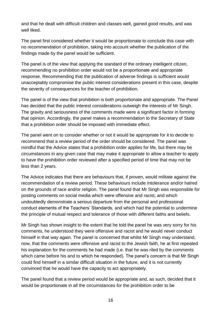and that he dealt with difficult children and classes well, gained good results, and was well liked.

The panel first considered whether it would be proportionate to conclude this case with no recommendation of prohibition, taking into account whether the publication of the findings made by the panel would be sufficient.

The panel is of the view that applying the standard of the ordinary intelligent citizen, recommending no prohibition order would not be a proportionate and appropriate response. Recommending that the publication of adverse findings is sufficient would unacceptably compromise the public interest considerations present in this case, despite the severity of consequences for the teacher of prohibition.

The panel is of the view that prohibition is both proportionate and appropriate. The Panel has decided that the public interest considerations outweigh the interests of Mr Singh. The gravity and seriousness of the comments made were a significant factor in forming that opinion. Accordingly, the panel makes a recommendation to the Secretary of State that a prohibition order should be imposed with immediate effect.

The panel went on to consider whether or not it would be appropriate for it to decide to recommend that a review period of the order should be considered. The panel was mindful that the Advice states that a prohibition order applies for life, but there may be circumstances in any given case that may make it appropriate to allow a teacher to apply to have the prohibition order reviewed after a specified period of time that may not be less than 2 years.

The Advice indicates that there are behaviours that, if proven, would militate against the recommendation of a review period. These behaviours include intolerance and/or hatred on the grounds of race and/or religion. The panel found that Mr Singh was responsible for posting comments on social media which were offensive and racist, and which undoubtedly demonstrate a serious departure from the personal and professional conduct elements of the Teachers' Standards, and which had the potential to undermine the principle of mutual respect and tolerance of those with different faiths and beliefs.

Mr Singh has shown insight to the extent that he told the panel he was very sorry for his comments, he understood they were offensive and racist and he would never conduct himself in that way again. The panel is concerned that whilst Mr Singh may understand, now, that the comments were offensive and racist to the Jewish faith, he at first repeated his explanation for the comments he had made (i.e. that he was riled by the comments which came before his and to which he responded). The panel's concern is that Mr Singh could find himself in a similar difficult situation in the future, and it is not currently convinced that he would have the capacity to act appropriately.

The panel found that a review period would be appropriate and, as such, decided that it would be proportionate in all the circumstances for the prohibition order to be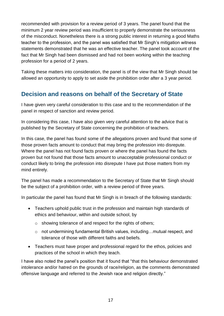recommended with provision for a review period of 3 years. The panel found that the minimum 2 year review period was insufficient to properly demonstrate the seriousness of the misconduct. Nonetheless there is a strong public interest in returning a good Maths teacher to the profession, and the panel was satisfied that Mr Singh's mitigation witness statements demonstrated that he was an effective teacher. The panel took account of the fact that Mr Singh had been dismissed and had not been working within the teaching profession for a period of 2 years.

Taking these matters into consideration, the panel is of the view that Mr Singh should be allowed an opportunity to apply to set aside the prohibition order after a 3 year period.

# <span id="page-16-0"></span>**Decision and reasons on behalf of the Secretary of State**

I have given very careful consideration to this case and to the recommendation of the panel in respect of sanction and review period.

In considering this case, I have also given very careful attention to the advice that is published by the Secretary of State concerning the prohibition of teachers.

In this case, the panel has found some of the allegations proven and found that some of those proven facts amount to conduct that may bring the profession into disrepute. Where the panel has not found facts proven or where the panel has found the facts proven but not found that those facts amount to unacceptable professional conduct or conduct likely to bring the profession into disrepute I have put those matters from my mind entirely.

The panel has made a recommendation to the Secretary of State that Mr Singh should be the subject of a prohibition order, with a review period of three years.

In particular the panel has found that Mr Singh is in breach of the following standards:

- Teachers uphold public trust in the profession and maintain high standards of ethics and behaviour, within and outside school, by
	- o showing tolerance of and respect for the rights of others;
	- o not undermining fundamental British values, including…mutual respect, and tolerance of those with different faiths and beliefs.
- Teachers must have proper and professional regard for the ethos, policies and practices of the school in which they teach.

I have also noted the panel's position that it found that "that this behaviour demonstrated intolerance and/or hatred on the grounds of race/religion, as the comments demonstrated offensive language and referred to the Jewish race and religion directly."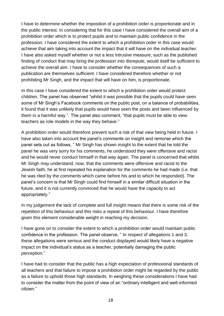I have to determine whether the imposition of a prohibition order is proportionate and in the public interest. In considering that for this case I have considered the overall aim of a prohibition order which is to protect pupils and to maintain public confidence in the profession. I have considered the extent to which a prohibition order in this case would achieve that aim taking into account the impact that it will have on the individual teacher. I have also asked myself whether or not a less intrusive measure, such as the published finding of conduct that may bring the profession into disrepute, would itself be sufficient to achieve the overall aim. I have to consider whether the consequences of such a publication are themselves sufficient. I have considered therefore whether or not prohibiting Mr Singh, and the impact that will have on him, is proportionate.

In this case I have considered the extent to which a prohibition order would protect children. The panel has observed "whilst it was possible that the pupils could have seen some of Mr Singh's Facebook comments on the public post, on a balance of probabilities, it found that it was unlikely that pupils would have seen the posts and been influenced by them in a harmful way.". The panel also comment, "that pupils must be able to view teachers as role models in the way they behave."

A prohibition order would therefore prevent such a risk of that view being held in future. I have also taken into account the panel's comments on insight and remorse which the panel sets out as follows, " Mr Singh has shown insight to the extent that he told the panel he was very sorry for his comments, he understood they were offensive and racist and he would never conduct himself in that way again. The panel is concerned that whilst Mr Singh may understand, now, that the comments were offensive and racist to the Jewish faith, he at first repeated his explanation for the comments he had made (i.e. that he was riled by the comments which came before his and to which he responded). The panel's concern is that Mr Singh could find himself in a similar difficult situation in the future, and it is not currently convinced that he would have the capacity to act appropriately."

In my judgement the lack of complete and full insight means that there is some risk of the repetition of this behaviour and this risks a repeat of this behaviour. I have therefore given this element considerable weight in reaching my decision.

I have gone on to consider the extent to which a prohibition order would maintain public confidence in the profession. The panel observe, " In respect of allegations 1 and 3, these allegations were serious and the conduct displayed would likely have a negative impact on the individual's status as a teacher, potentially damaging the public perception."

I have had to consider that the public has a high expectation of professional standards of all teachers and that failure to impose a prohibition order might be regarded by the public as a failure to uphold those high standards. In weighing these considerations I have had to consider the matter from the point of view of an "ordinary intelligent and well-informed citizen."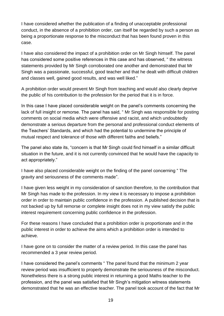I have considered whether the publication of a finding of unacceptable professional conduct, in the absence of a prohibition order, can itself be regarded by such a person as being a proportionate response to the misconduct that has been found proven in this case.

I have also considered the impact of a prohibition order on Mr Singh himself. The panel has considered some positive references in this case and has observed, " the witness statements provided by Mr Singh corroborated one another and demonstrated that Mr Singh was a passionate, successful, good teacher and that he dealt with difficult children and classes well, gained good results, and was well liked."

A prohibition order would prevent Mr Singh from teaching and would also clearly deprive the public of his contribution to the profession for the period that it is in force.

In this case I have placed considerable weight on the panel's comments concerning the lack of full insight or remorse. The panel has said, " Mr Singh was responsible for posting comments on social media which were offensive and racist, and which undoubtedly demonstrate a serious departure from the personal and professional conduct elements of the Teachers' Standards, and which had the potential to undermine the principle of mutual respect and tolerance of those with different faiths and beliefs."

The panel also state its, "concern is that Mr Singh could find himself in a similar difficult situation in the future, and it is not currently convinced that he would have the capacity to act appropriately."

I have also placed considerable weight on the finding of the panel concerning " The gravity and seriousness of the comments made".

I have given less weight in my consideration of sanction therefore, to the contribution that Mr Singh has made to the profession. In my view it is necessary to impose a prohibition order in order to maintain public confidence in the profession. A published decision that is not backed up by full remorse or complete insight does not in my view satisfy the public interest requirement concerning public confidence in the profession.

For these reasons I have concluded that a prohibition order is proportionate and in the public interest in order to achieve the aims which a prohibition order is intended to achieve.

I have gone on to consider the matter of a review period. In this case the panel has recommended a 3 year review period.

I have considered the panel's comments " The panel found that the minimum 2 year review period was insufficient to properly demonstrate the seriousness of the misconduct. Nonetheless there is a strong public interest in returning a good Maths teacher to the profession, and the panel was satisfied that Mr Singh's mitigation witness statements demonstrated that he was an effective teacher. The panel took account of the fact that Mr